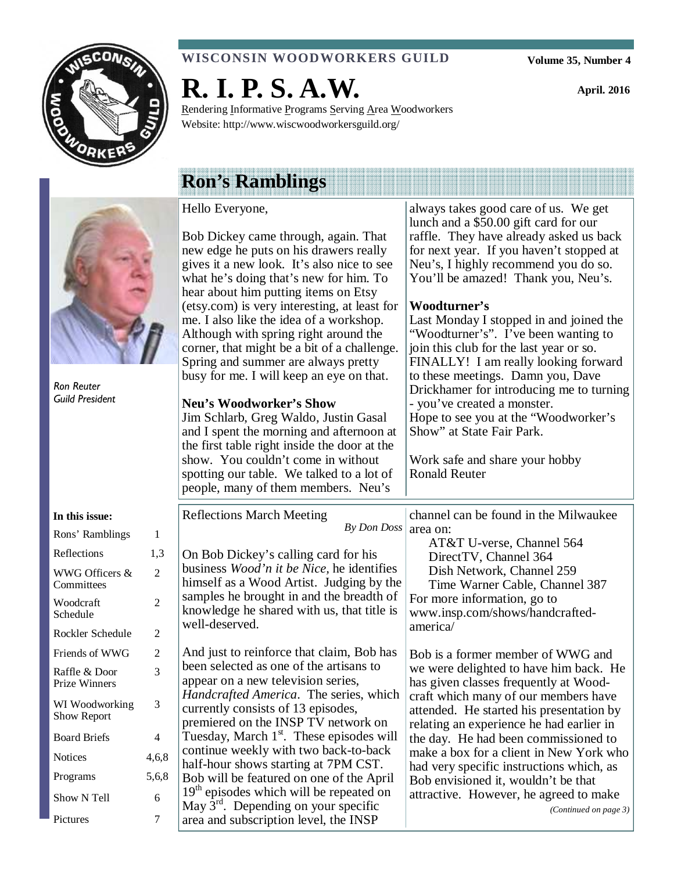

#### **WISCONSIN WOODWORKERS GUILD**

**Volume 35, Number 4** 

always takes good care of us. We get

**April. 2016** 

# **R. I. P. S. A.W.**

Rendering Informative Programs Serving Area Woodworkers Website: http://www.wiscwoodworkersguild.org/

# Hello Everyone,

# **Ron's Ramblings**

| Ron Reuter                     |                | Bob Dickey came through, again. That<br>new edge he puts on his drawers really<br>gives it a new look. It's also nice to see<br>what he's doing that's new for him. To<br>hear about him putting items on Etsy<br>(etsy.com) is very interesting, at least for<br>me. I also like the idea of a workshop.<br>Although with spring right around the<br>corner, that might be a bit of a challenge.<br>Spring and summer are always pretty<br>busy for me. I will keep an eye on that. | lunch and a \$50.00 gift card for our<br>raffle. They have already asked us back<br>for next year. If you haven't stopped at<br>Neu's, I highly recommend you do so.<br>You'll be amazed! Thank you, Neu's.<br>Woodturner's<br>Last Monday I stopped in and joined the<br>"Woodturner's". I've been wanting to<br>join this club for the last year or so.<br>FINALLY! I am really looking forward<br>to these meetings. Damn you, Dave |
|--------------------------------|----------------|--------------------------------------------------------------------------------------------------------------------------------------------------------------------------------------------------------------------------------------------------------------------------------------------------------------------------------------------------------------------------------------------------------------------------------------------------------------------------------------|----------------------------------------------------------------------------------------------------------------------------------------------------------------------------------------------------------------------------------------------------------------------------------------------------------------------------------------------------------------------------------------------------------------------------------------|
| <b>Guild President</b>         |                | <b>Neu's Woodworker's Show</b><br>Jim Schlarb, Greg Waldo, Justin Gasal<br>and I spent the morning and afternoon at<br>the first table right inside the door at the<br>show. You couldn't come in without<br>spotting our table. We talked to a lot of<br>people, many of them members. Neu's                                                                                                                                                                                        | Drickhamer for introducing me to turning<br>- you've created a monster.<br>Hope to see you at the "Woodworker's<br>Show" at State Fair Park.<br>Work safe and share your hobby<br><b>Ronald Reuter</b>                                                                                                                                                                                                                                 |
| In this issue:                 |                | <b>Reflections March Meeting</b><br>By Don Doss                                                                                                                                                                                                                                                                                                                                                                                                                                      | channel can be found in the Milwaukee<br>area on:                                                                                                                                                                                                                                                                                                                                                                                      |
| Rons' Ramblings                | 1              |                                                                                                                                                                                                                                                                                                                                                                                                                                                                                      | AT&T U-verse, Channel 564                                                                                                                                                                                                                                                                                                                                                                                                              |
| Reflections                    | 1,3            | On Bob Dickey's calling card for his                                                                                                                                                                                                                                                                                                                                                                                                                                                 | DirectTV, Channel 364                                                                                                                                                                                                                                                                                                                                                                                                                  |
| WWG Officers &<br>Committees   | $\overline{2}$ | business <i>Wood'n it be Nice</i> , he identifies<br>himself as a Wood Artist. Judging by the                                                                                                                                                                                                                                                                                                                                                                                        | Dish Network, Channel 259<br>Time Warner Cable, Channel 387                                                                                                                                                                                                                                                                                                                                                                            |
| Woodcraft<br>Schedule          | $\overline{2}$ | samples he brought in and the breadth of<br>knowledge he shared with us, that title is                                                                                                                                                                                                                                                                                                                                                                                               | For more information, go to<br>www.insp.com/shows/handcrafted-                                                                                                                                                                                                                                                                                                                                                                         |
| Rockler Schedule               | 2              | well-deserved.                                                                                                                                                                                                                                                                                                                                                                                                                                                                       | america/                                                                                                                                                                                                                                                                                                                                                                                                                               |
| Friends of WWG                 | 2              | And just to reinforce that claim, Bob has                                                                                                                                                                                                                                                                                                                                                                                                                                            | Bob is a former member of WWG and                                                                                                                                                                                                                                                                                                                                                                                                      |
| Raffle & Door<br>Prize Winners | 3              | been selected as one of the artisans to<br>appear on a new television series,                                                                                                                                                                                                                                                                                                                                                                                                        | we were delighted to have him back. He<br>has given classes frequently at Wood-                                                                                                                                                                                                                                                                                                                                                        |
| WI Woodworking<br>Show Report  | 3              | Handcrafted America. The series, which<br>currently consists of 13 episodes,<br>premiered on the INSP TV network on                                                                                                                                                                                                                                                                                                                                                                  | craft which many of our members have<br>attended. He started his presentation by                                                                                                                                                                                                                                                                                                                                                       |
| <b>Board Briefs</b>            | $\overline{4}$ | Tuesday, March 1 <sup>st</sup> . These episodes will                                                                                                                                                                                                                                                                                                                                                                                                                                 | relating an experience he had earlier in<br>the day. He had been commissioned to                                                                                                                                                                                                                                                                                                                                                       |
| <b>Notices</b>                 | 4,6,8          | continue weekly with two back-to-back<br>half-hour shows starting at 7PM CST.                                                                                                                                                                                                                                                                                                                                                                                                        | make a box for a client in New York who<br>had very specific instructions which, as                                                                                                                                                                                                                                                                                                                                                    |
| Programs                       | 5,6,8          | Bob will be featured on one of the April                                                                                                                                                                                                                                                                                                                                                                                                                                             | Bob envisioned it, wouldn't be that                                                                                                                                                                                                                                                                                                                                                                                                    |
| Show N Tell                    | 6              | $19th$ episodes which will be repeated on<br>May $3^{rd}$ . Depending on your specific                                                                                                                                                                                                                                                                                                                                                                                               | attractive. However, he agreed to make<br>(Continued on page 3)                                                                                                                                                                                                                                                                                                                                                                        |
| Pictures                       | 7              | area and subscription level, the INSP                                                                                                                                                                                                                                                                                                                                                                                                                                                |                                                                                                                                                                                                                                                                                                                                                                                                                                        |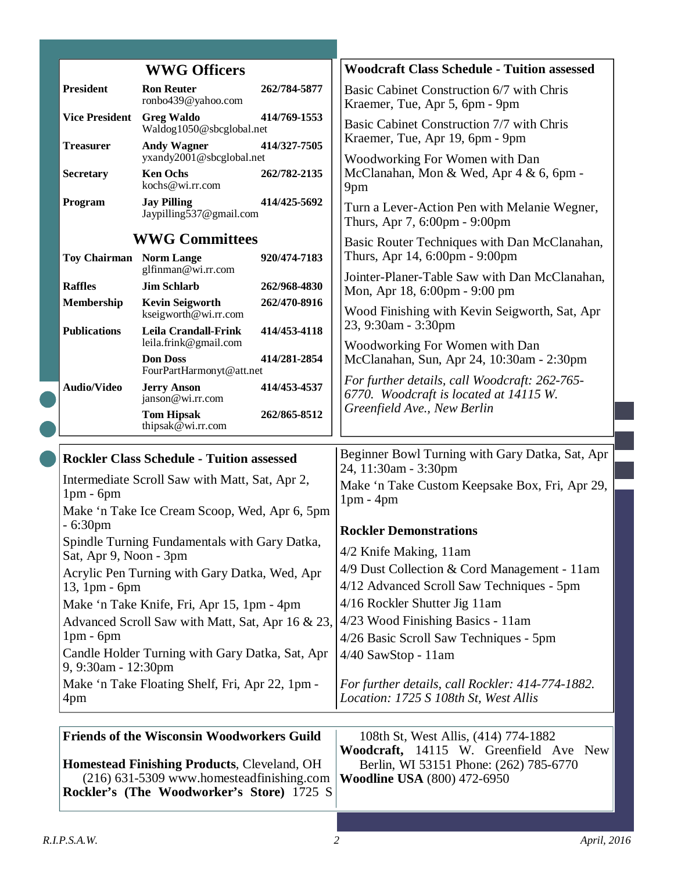|  |                                                                         | <b>WWG Officers</b>                                                                                                                                                                               |                              | <b>Woodcraft Class Schedule - Tuition assessed</b>                                                                                                             |  |
|--|-------------------------------------------------------------------------|---------------------------------------------------------------------------------------------------------------------------------------------------------------------------------------------------|------------------------------|----------------------------------------------------------------------------------------------------------------------------------------------------------------|--|
|  | <b>President</b>                                                        | <b>Ron Reuter</b><br>ronbo439@yahoo.com                                                                                                                                                           | 262/784-5877                 | Basic Cabinet Construction 6/7 with Chris<br>Kraemer, Tue, Apr 5, 6pm - 9pm                                                                                    |  |
|  | <b>Vice President</b>                                                   | <b>Greg Waldo</b><br>Waldog1050@sbcglobal.net<br><b>Andy Wagner</b><br>yxandy2001@sbcglobal.net<br><b>Ken Ochs</b><br>kochs@wi.rr.com                                                             | 414/769-1553                 | Basic Cabinet Construction 7/7 with Chris                                                                                                                      |  |
|  | <b>Treasurer</b>                                                        |                                                                                                                                                                                                   | 414/327-7505<br>262/782-2135 | Kraemer, Tue, Apr 19, 6pm - 9pm<br>Woodworking For Women with Dan                                                                                              |  |
|  | <b>Secretary</b>                                                        |                                                                                                                                                                                                   |                              | McClanahan, Mon & Wed, Apr 4 & 6, 6pm -<br>9pm                                                                                                                 |  |
|  | Program                                                                 | <b>Jay Pilling</b><br>Jaypilling537@gmail.com                                                                                                                                                     | 414/425-5692                 | Turn a Lever-Action Pen with Melanie Wegner,<br>Thurs, Apr 7, 6:00pm - 9:00pm                                                                                  |  |
|  | <b>WWG Committees</b>                                                   |                                                                                                                                                                                                   |                              | Basic Router Techniques with Dan McClanahan,                                                                                                                   |  |
|  | <b>Toy Chairman</b> Norm Lange                                          | glfinman@wi.rr.com                                                                                                                                                                                | 920/474-7183                 | Thurs, Apr 14, 6:00pm - 9:00pm                                                                                                                                 |  |
|  | <b>Raffles</b>                                                          | <b>Jim Schlarb</b>                                                                                                                                                                                | 262/968-4830                 | Jointer-Planer-Table Saw with Dan McClanahan,<br>Mon, Apr 18, 6:00pm - 9:00 pm                                                                                 |  |
|  | Membership                                                              | <b>Kevin Seigworth</b>                                                                                                                                                                            | 262/470-8916                 |                                                                                                                                                                |  |
|  | <b>Publications</b>                                                     | kseigworth@wi.rr.com<br><b>Leila Crandall-Frink</b>                                                                                                                                               | 414/453-4118                 | Wood Finishing with Kevin Seigworth, Sat, Apr<br>23, 9:30am - 3:30pm                                                                                           |  |
|  |                                                                         | leila.frink@gmail.com                                                                                                                                                                             |                              | Woodworking For Women with Dan                                                                                                                                 |  |
|  |                                                                         | <b>Don Doss</b><br>FourPartHarmonyt@att.net                                                                                                                                                       | 414/281-2854                 | McClanahan, Sun, Apr 24, 10:30am - 2:30pm                                                                                                                      |  |
|  | <b>Audio/Video</b>                                                      | <b>Jerry Anson</b><br>janson@wi.rr.com                                                                                                                                                            | 414/453-4537                 | For further details, call Woodcraft: 262-765-<br>6770. Woodcraft is located at 14115 W.                                                                        |  |
|  |                                                                         | <b>Tom Hipsak</b><br>thipsak@wi.rr.com                                                                                                                                                            | 262/865-8512                 | Greenfield Ave., New Berlin                                                                                                                                    |  |
|  |                                                                         | <b>Rockler Class Schedule - Tuition assessed</b>                                                                                                                                                  |                              | Beginner Bowl Turning with Gary Datka, Sat, Apr                                                                                                                |  |
|  | Intermediate Scroll Saw with Matt, Sat, Apr 2,<br>$1pm - 6pm$           |                                                                                                                                                                                                   |                              | 24, 11:30am - 3:30pm<br>Make 'n Take Custom Keepsake Box, Fri, Apr 29,<br>$1pm - 4pm$                                                                          |  |
|  |                                                                         | Make 'n Take Ice Cream Scoop, Wed, Apr 6, 5pm                                                                                                                                                     |                              |                                                                                                                                                                |  |
|  | $-6:30pm$                                                               |                                                                                                                                                                                                   |                              | <b>Rockler Demonstrations</b>                                                                                                                                  |  |
|  | Spindle Turning Fundamentals with Gary Datka,<br>Sat, Apr 9, Noon - 3pm |                                                                                                                                                                                                   |                              | 4/2 Knife Making, 11am                                                                                                                                         |  |
|  |                                                                         | Acrylic Pen Turning with Gary Datka, Wed, Apr                                                                                                                                                     |                              | 4/9 Dust Collection & Cord Management - 11am                                                                                                                   |  |
|  | $13,1$ pm - 6pm                                                         |                                                                                                                                                                                                   |                              | 4/12 Advanced Scroll Saw Techniques - 5pm                                                                                                                      |  |
|  | Make 'n Take Knife, Fri, Apr 15, 1pm - 4pm                              |                                                                                                                                                                                                   |                              | 4/16 Rockler Shutter Jig 11am                                                                                                                                  |  |
|  | $1pm - 6pm$                                                             | Advanced Scroll Saw with Matt, Sat, Apr 16 & 23,                                                                                                                                                  |                              | 4/23 Wood Finishing Basics - 11am                                                                                                                              |  |
|  |                                                                         | Candle Holder Turning with Gary Datka, Sat, Apr                                                                                                                                                   |                              | 4/26 Basic Scroll Saw Techniques - 5pm                                                                                                                         |  |
|  | 9, 9:30am - 12:30pm                                                     |                                                                                                                                                                                                   |                              | $4/40$ SawStop - 11am                                                                                                                                          |  |
|  | 4pm                                                                     | Make 'n Take Floating Shelf, Fri, Apr 22, 1pm -                                                                                                                                                   |                              | For further details, call Rockler: 414-774-1882.<br>Location: 1725 S 108th St, West Allis                                                                      |  |
|  |                                                                         |                                                                                                                                                                                                   |                              |                                                                                                                                                                |  |
|  |                                                                         | <b>Friends of the Wisconsin Woodworkers Guild</b><br><b>Homestead Finishing Products, Cleveland, OH</b><br>(216) 631-5309 www.homesteadfinishing.com<br>Rockler's (The Woodworker's Store) 1725 S |                              | 108th St, West Allis, (414) 774-1882<br>Woodcraft, 14115 W. Greenfield Ave New<br>Berlin, WI 53151 Phone: (262) 785-6770<br><b>Woodline USA</b> (800) 472-6950 |  |
|  |                                                                         |                                                                                                                                                                                                   |                              |                                                                                                                                                                |  |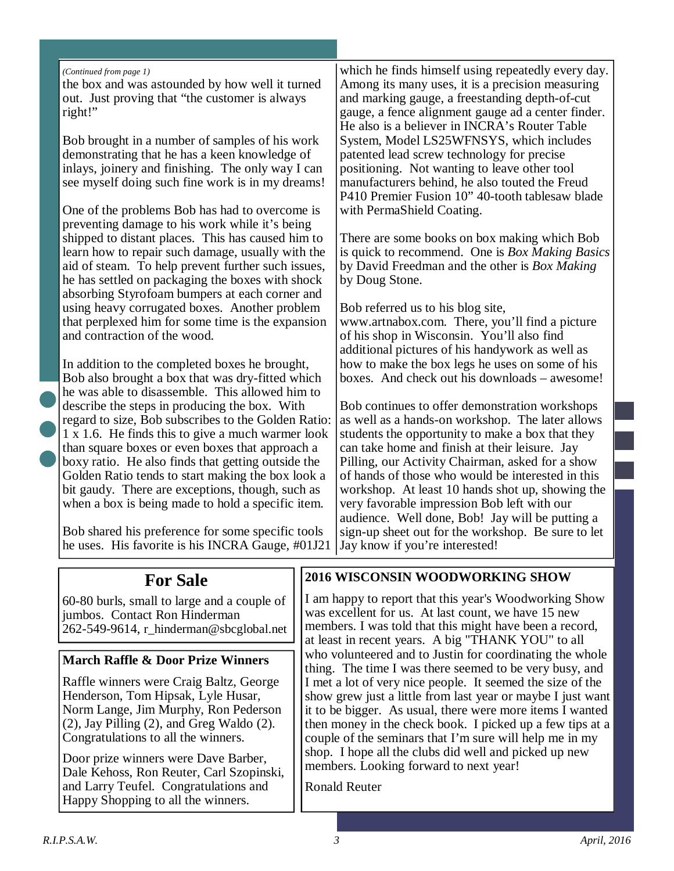#### *(Continued from page 1)*

the box and was astounded by how well it turned out. Just proving that "the customer is always right!"

Bob brought in a number of samples of his work demonstrating that he has a keen knowledge of inlays, joinery and finishing. The only way I can see myself doing such fine work is in my dreams!

One of the problems Bob has had to overcome is preventing damage to his work while it's being shipped to distant places. This has caused him to learn how to repair such damage, usually with the aid of steam. To help prevent further such issues, he has settled on packaging the boxes with shock absorbing Styrofoam bumpers at each corner and using heavy corrugated boxes. Another problem that perplexed him for some time is the expansion and contraction of the wood.

In addition to the completed boxes he brought, Bob also brought a box that was dry-fitted which he was able to disassemble. This allowed him to describe the steps in producing the box. With regard to size, Bob subscribes to the Golden Ratio: 1 x 1.6. He finds this to give a much warmer look than square boxes or even boxes that approach a boxy ratio. He also finds that getting outside the Golden Ratio tends to start making the box look a bit gaudy. There are exceptions, though, such as when a box is being made to hold a specific item.

Bob shared his preference for some specific tools he uses. His favorite is his INCRA Gauge, #01J21

which he finds himself using repeatedly every day. Among its many uses, it is a precision measuring and marking gauge, a freestanding depth-of-cut gauge, a fence alignment gauge ad a center finder. He also is a believer in INCRA's Router Table System, Model LS25WFNSYS, which includes patented lead screw technology for precise positioning. Not wanting to leave other tool manufacturers behind, he also touted the Freud P410 Premier Fusion 10" 40-tooth tablesaw blade with PermaShield Coating.

There are some books on box making which Bob is quick to recommend. One is *Box Making Basics* by David Freedman and the other is *Box Making* by Doug Stone.

Bob referred us to his blog site, www.artnabox.com. There, you'll find a picture of his shop in Wisconsin. You'll also find additional pictures of his handywork as well as how to make the box legs he uses on some of his boxes. And check out his downloads – awesome!

Bob continues to offer demonstration workshops as well as a hands-on workshop. The later allows students the opportunity to make a box that they can take home and finish at their leisure. Jay Pilling, our Activity Chairman, asked for a show of hands of those who would be interested in this workshop. At least 10 hands shot up, showing the very favorable impression Bob left with our audience. Well done, Bob! Jay will be putting a sign-up sheet out for the workshop. Be sure to let Jay know if you're interested!

## **For Sale**

60-80 burls, small to large and a couple of jumbos. Contact Ron Hinderman 262-549-9614, r\_hinderman@sbcglobal.net

#### **March Raffle & Door Prize Winners**

Raffle winners were Craig Baltz, George Henderson, Tom Hipsak, Lyle Husar, Norm Lange, Jim Murphy, Ron Pederson (2), Jay Pilling (2), and Greg Waldo (2). Congratulations to all the winners.

Door prize winners were Dave Barber, Dale Kehoss, Ron Reuter, Carl Szopinski, and Larry Teufel. Congratulations and Happy Shopping to all the winners.

#### **2016 WISCONSIN WOODWORKING SHOW**

I am happy to report that this year's Woodworking Show was excellent for us. At last count, we have 15 new members. I was told that this might have been a record, at least in recent years. A big "THANK YOU" to all who volunteered and to Justin for coordinating the whole thing. The time I was there seemed to be very busy, and I met a lot of very nice people. It seemed the size of the show grew just a little from last year or maybe I just want it to be bigger. As usual, there were more items I wanted then money in the check book. I picked up a few tips at a couple of the seminars that I'm sure will help me in my shop. I hope all the clubs did well and picked up new members. Looking forward to next year!

Ronald Reuter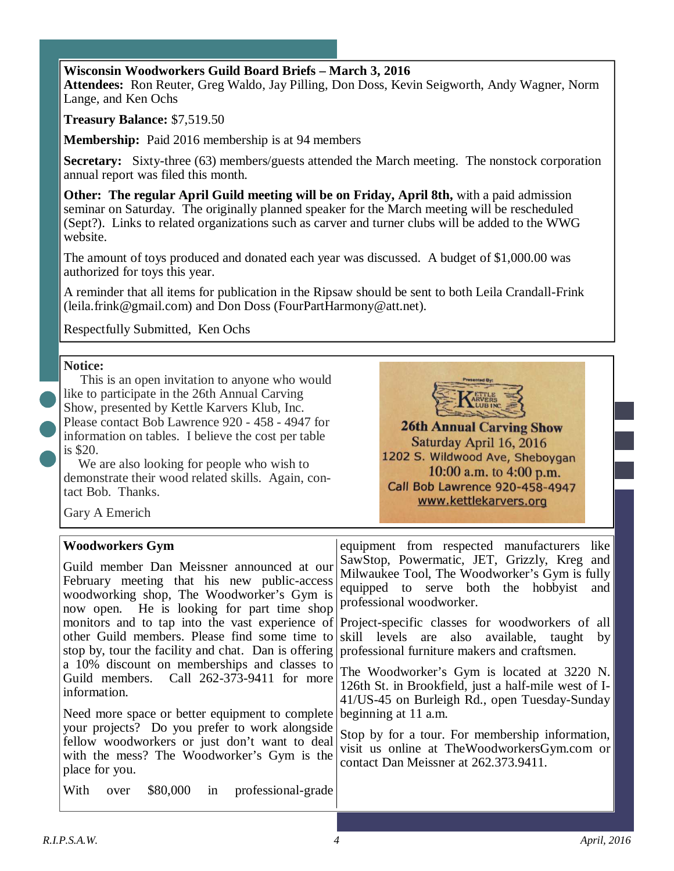#### **Wisconsin Woodworkers Guild Board Briefs – March 3, 2016**

**Attendees:** Ron Reuter, Greg Waldo, Jay Pilling, Don Doss, Kevin Seigworth, Andy Wagner, Norm Lange, and Ken Ochs

**Treasury Balance:** \$7,519.50

**Membership:** Paid 2016 membership is at 94 members

**Secretary:** Sixty-three (63) members/guests attended the March meeting. The nonstock corporation annual report was filed this month.

**Other: The regular April Guild meeting will be on Friday, April 8th,** with a paid admission seminar on Saturday. The originally planned speaker for the March meeting will be rescheduled (Sept?). Links to related organizations such as carver and turner clubs will be added to the WWG website.

The amount of toys produced and donated each year was discussed. A budget of \$1,000.00 was authorized for toys this year.

A reminder that all items for publication in the Ripsaw should be sent to both Leila Crandall-Frink (leila.frink@gmail.com) and Don Doss (FourPartHarmony@att.net).

Respectfully Submitted, Ken Ochs

#### **Notice:**



 This is an open invitation to anyone who would like to participate in the 26th Annual Carving Show, presented by Kettle Karvers Klub, Inc. Please contact Bob Lawrence 920 - 458 - 4947 for information on tables. I believe the cost per table is \$20.

We are also looking for people who wish to demonstrate their wood related skills. Again, contact Bob. Thanks.

Saturday April 16, 2016 1202 S. Wildwood Ave, Sheboygan 10:00 a.m. to  $4:00$  p.m. **Call Bob Lawrence 920-458-4947** www.kettlekarvers.org

Gary A Emerich

| <b>Woodworkers Gym</b>                                                                            | equipment from respected manufacturers like          |
|---------------------------------------------------------------------------------------------------|------------------------------------------------------|
| Guild member Dan Meissner announced at our                                                        | SawStop, Powermatic, JET, Grizzly, Kreg and          |
| February meeting that his new public-access                                                       | Milwaukee Tool, The Woodworker's Gym is fully        |
| woodworking shop, The Woodworker's Gym is                                                         | equipped to serve both the hobbyist                  |
| now open. He is looking for part time shop                                                        | and                                                  |
| monitors and to tap into the vast experience of                                                   | professional woodworker.                             |
| other Guild members. Please find some time to                                                     | Project-specific classes for woodworkers of all      |
| stop by, tour the facility and chat. Dan is offering professional furniture makers and craftsmen. | skill levels are also available, taught              |
| a 10% discount on memberships and classes to                                                      | by <sub>l</sub>                                      |
| Guild members. Call 262-373-9411 for more                                                         | The Woodworker's Gym is located at 3220 N.           |
| information.                                                                                      | 126th St. in Brookfield, just a half-mile west of I- |
| Need more space or better equipment to complete                                                   | 41/US-45 on Burleigh Rd., open Tuesday-Sunday        |
| your projects? Do you prefer to work alongside                                                    | beginning at 11 a.m.                                 |
| fellow woodworkers or just don't want to deal                                                     | Stop by for a tour. For membership information,      |
| with the mess? The Woodworker's Gym is the                                                        | visit us online at TheWoodworkersGym.com or          |
| place for you.                                                                                    | contact Dan Meissner at 262.373.9411.                |
| With<br>\$80,000<br>professional-grade<br>over<br>$\ln$                                           |                                                      |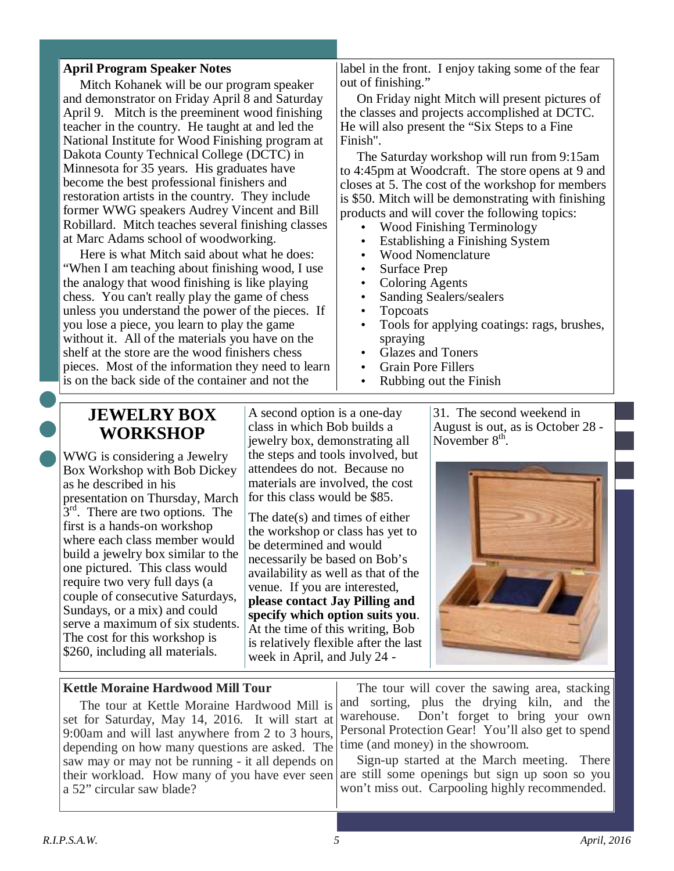#### **April Program Speaker Notes**

 Mitch Kohanek will be our program speaker and demonstrator on Friday April 8 and Saturday April 9. Mitch is the preeminent wood finishing teacher in the country. He taught at and led the National Institute for Wood Finishing program at Dakota County Technical College (DCTC) in Minnesota for 35 years. His graduates have become the best professional finishers and restoration artists in the country. They include former WWG speakers Audrey Vincent and Bill Robillard. Mitch teaches several finishing classes at Marc Adams school of woodworking.

 Here is what Mitch said about what he does: "When I am teaching about finishing wood, I use the analogy that wood finishing is like playing chess. You can't really play the game of chess unless you understand the power of the pieces. If you lose a piece, you learn to play the game without it. All of the materials you have on the shelf at the store are the wood finishers chess pieces. Most of the information they need to learn is on the back side of the container and not the

label in the front. I enjoy taking some of the fear out of finishing."

 On Friday night Mitch will present pictures of the classes and projects accomplished at DCTC. He will also present the "Six Steps to a Fine Finish".

 The Saturday workshop will run from 9:15am to 4:45pm at Woodcraft. The store opens at 9 and closes at 5. The cost of the workshop for members is \$50. Mitch will be demonstrating with finishing products and will cover the following topics:

- Wood Finishing Terminology
- Establishing a Finishing System
- Wood Nomenclature
- Surface Prep
- Coloring Agents
- Sanding Sealers/sealers
- Topcoats
- Tools for applying coatings: rags, brushes, spraying
- Glazes and Toners
- Grain Pore Fillers
- Rubbing out the Finish

# **JEWELRY BOX WORKSHOP**

WWG is considering a Jewelry Box Workshop with Bob Dickey as he described in his presentation on Thursday, March  $3<sup>rd</sup>$ . There are two options. The first is a hands-on workshop where each class member would build a jewelry box similar to the one pictured. This class would require two very full days (a couple of consecutive Saturdays, Sundays, or a mix) and could serve a maximum of six students. The cost for this workshop is \$260, including all materials.

A second option is a one-day class in which Bob builds a jewelry box, demonstrating all the steps and tools involved, but attendees do not. Because no materials are involved, the cost for this class would be \$85.

The date(s) and times of either the workshop or class has yet to be determined and would necessarily be based on Bob's availability as well as that of the venue. If you are interested, **please contact Jay Pilling and specify which option suits you**. At the time of this writing, Bob is relatively flexible after the last week in April, and July 24 -

31. The second weekend in August is out, as is October 28 - November  $8<sup>th</sup>$ .



#### **Kettle Moraine Hardwood Mill Tour**

The tour at Kettle Moraine Hardwood Mill is set for Saturday, May 14, 2016. It will start at 9:00am and will last anywhere from 2 to 3 hours, depending on how many questions are asked. The saw may or may not be running - it all depends on their workload. How many of you have ever seen a 52" circular saw blade?

 The tour will cover the sawing area, stacking and sorting, plus the drying kiln, and the warehouse. Don't forget to bring your own Personal Protection Gear! You'll also get to spend time (and money) in the showroom.

 Sign-up started at the March meeting. There are still some openings but sign up soon so you won't miss out. Carpooling highly recommended.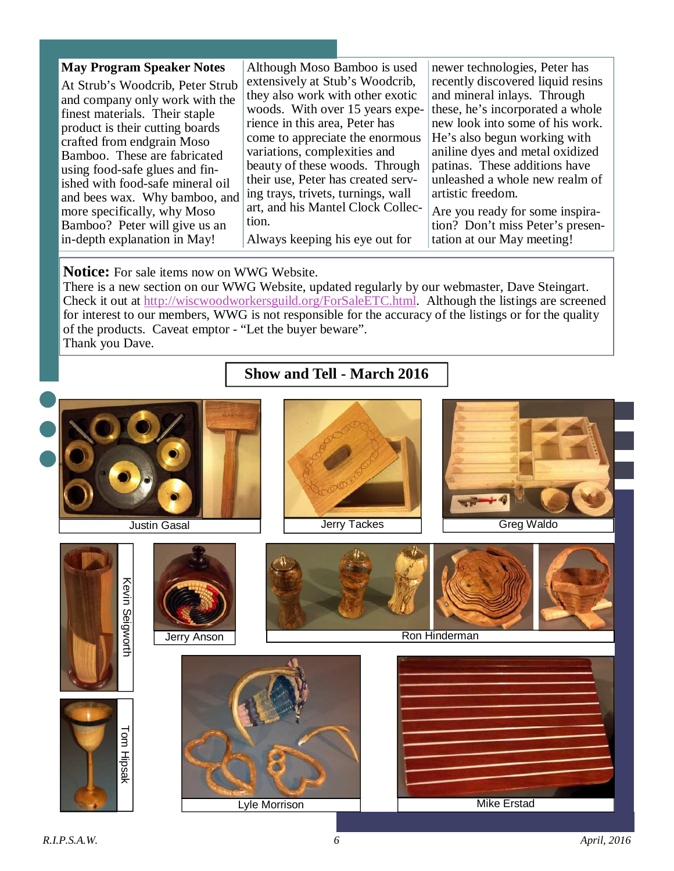| <b>May Program Speaker Notes</b> | Although Moso Bamboo is used       | newer technologies, Peter has     |
|----------------------------------|------------------------------------|-----------------------------------|
| At Strub's Woodcrib, Peter Strub | extensively at Stub's Woodcrib,    | recently discovered liquid resins |
| and company only work with the   | they also work with other exotic   | and mineral inlays. Through       |
| finest materials. Their staple   | woods. With over 15 years expe-    | these, he's incorporated a whole  |
| product is their cutting boards  | rience in this area, Peter has     | new look into some of his work.   |
| crafted from endgrain Moso       | come to appreciate the enormous    | He's also begun working with      |
| Bamboo. These are fabricated     | variations, complexities and       | aniline dyes and metal oxidized   |
| using food-safe glues and fin-   | beauty of these woods. Through     | patinas. These additions have     |
| ished with food-safe mineral oil | their use, Peter has created serv- | unleashed a whole new realm of    |
| and bees wax. Why bamboo, and    | ing trays, trivets, turnings, wall | artistic freedom.                 |
| more specifically, why Moso      | art, and his Mantel Clock Collec-  | Are you ready for some inspira-   |
| Bamboo? Peter will give us an    | tion.                              | tion? Don't miss Peter's presen-  |
| in-depth explanation in May!     | Always keeping his eye out for     | tation at our May meeting!        |

#### **Notice:** For sale items now on WWG Website.

There is a new section on our WWG Website, updated regularly by our webmaster, Dave Steingart. Check it out at http://wiscwoodworkersguild.org/ForSaleETC.html. Although the listings are screened for interest to our members, WWG is not responsible for the accuracy of the listings or for the quality of the products. Caveat emptor - "Let the buyer beware". Thank you Dave.

## **Show and Tell - March 2016**

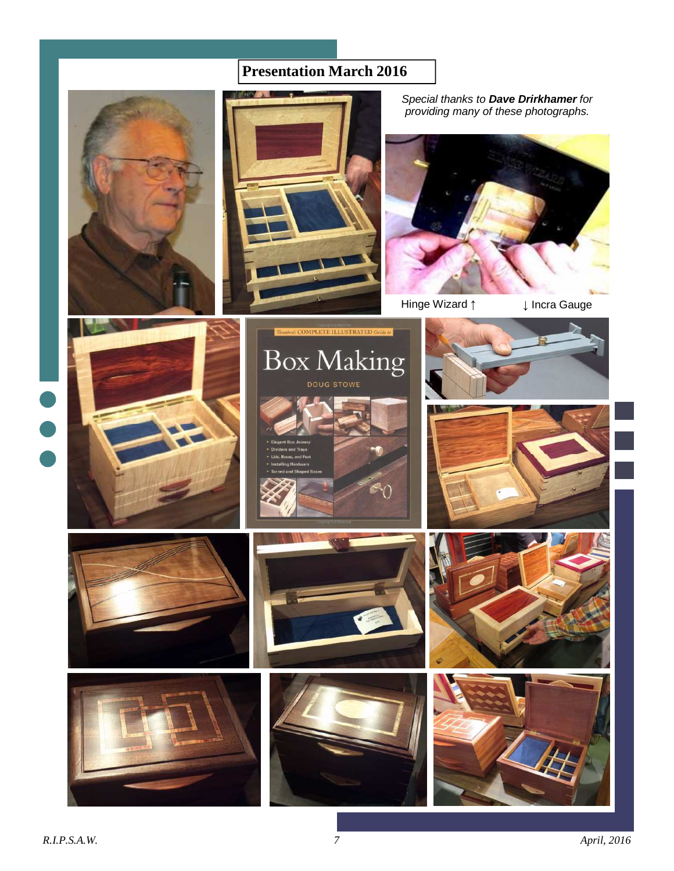# **Presentation March 2016**